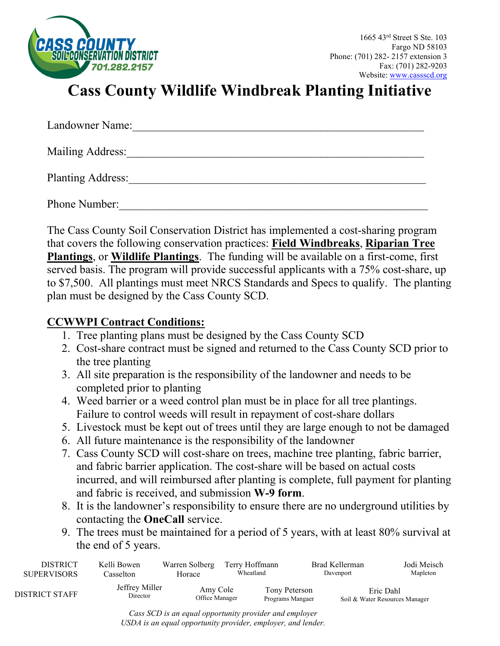

# **Cass County Wildlife Windbreak Planting Initiative**

| Landowner Name:          |  |
|--------------------------|--|
| Mailing Address:         |  |
| <b>Planting Address:</b> |  |
| Phone Number:            |  |

The Cass County Soil Conservation District has implemented a cost-sharing program that covers the following conservation practices: **Field Windbreaks**, **Riparian Tree Plantings**, or **Wildlife Plantings**. The funding will be available on a first-come, first served basis. The program will provide successful applicants with a 75% cost-share, up to \$7,500. All plantings must meet NRCS Standards and Specs to qualify. The planting plan must be designed by the Cass County SCD.

## **CCWWPI Contract Conditions:**

- 1. Tree planting plans must be designed by the Cass County SCD
- 2. Cost-share contract must be signed and returned to the Cass County SCD prior to the tree planting
- 3. All site preparation is the responsibility of the landowner and needs to be completed prior to planting
- 4. Weed barrier or a weed control plan must be in place for all tree plantings. Failure to control weeds will result in repayment of cost-share dollars
- 5. Livestock must be kept out of trees until they are large enough to not be damaged
- 6. All future maintenance is the responsibility of the landowner
- 7. Cass County SCD will cost-share on trees, machine tree planting, fabric barrier, and fabric barrier application. The cost-share will be based on actual costs incurred, and will reimbursed after planting is complete, full payment for planting and fabric is received, and submission **W-9 form**.
- 8. It is the landowner's responsibility to ensure there are no underground utilities by contacting the **OneCall** service.
- 9. The trees must be maintained for a period of 5 years, with at least 80% survival at the end of 5 years.

| <b>DISTRICT</b>    | Kelli Bowen                 | Warren Solberg             | Terry Hoffmann                    | Brad Kellerman | Jodi Meisch                                 |
|--------------------|-----------------------------|----------------------------|-----------------------------------|----------------|---------------------------------------------|
| <b>SUPERVISORS</b> | Casselton                   | Horace                     | Wheatland                         | Davenport      | Mapleton                                    |
| DISTRICT STAFF     | Jeffrey Miller<br>Director. | Amy Cole<br>Office Manager | Tony Peterson<br>Programs Mangaer |                | Eric Dahl<br>Soil & Water Resources Manager |

*Cass SCD is an equal opportunity provider and employer USDA is an equal opportunity provider, employer, and lender.*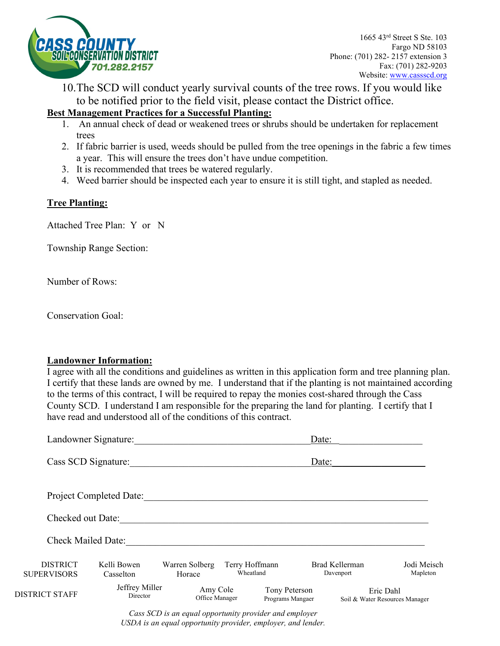

10.The SCD will conduct yearly survival counts of the tree rows. If you would like to be notified prior to the field visit, please contact the District office.

### **Best Management Practices for a Successful Planting:**

- 1. An annual check of dead or weakened trees or shrubs should be undertaken for replacement trees
- 2. If fabric barrier is used, weeds should be pulled from the tree openings in the fabric a few times a year. This will ensure the trees don't have undue competition.
- 3. It is recommended that trees be watered regularly.
- 4. Weed barrier should be inspected each year to ensure it is still tight, and stapled as needed.

#### **Tree Planting:**

Attached Tree Plan: Y or N

Township Range Section:

Number of Rows:

Conservation Goal:

#### **Landowner Information:**

I agree with all the conditions and guidelines as written in this application form and tree planning plan. I certify that these lands are owned by me. I understand that if the planting is not maintained according to the terms of this contract, I will be required to repay the monies cost-shared through the Cass County SCD. I understand I am responsible for the preparing the land for planting. I certify that I have read and understood all of the conditions of this contract.

|                                       | Landowner Signature:       |                            |                             | Date:                             |                             |                                             |
|---------------------------------------|----------------------------|----------------------------|-----------------------------|-----------------------------------|-----------------------------|---------------------------------------------|
| Cass SCD Signature:                   |                            |                            |                             | Date:                             |                             |                                             |
|                                       | Project Completed Date:    |                            |                             |                                   |                             |                                             |
| Checked out Date:                     |                            |                            |                             |                                   |                             |                                             |
| <b>Check Mailed Date:</b>             |                            |                            |                             |                                   |                             |                                             |
| <b>DISTRICT</b><br><b>SUPERVISORS</b> | Kelli Bowen<br>Casselton   | Warren Solberg<br>Horace   | Terry Hoffmann<br>Wheatland |                                   | Brad Kellerman<br>Davenport | Jodi Meisch<br>Mapleton                     |
| <b>DISTRICT STAFF</b>                 | Jeffrey Miller<br>Director | Amy Cole<br>Office Manager |                             | Tony Peterson<br>Programs Mangaer |                             | Eric Dahl<br>Soil & Water Resources Manager |

*Cass SCD is an equal opportunity provider and employer USDA is an equal opportunity provider, employer, and lender.*